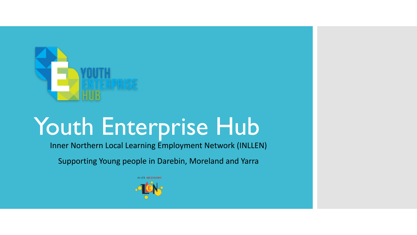

# Youth Enterprise Hub

Inner Northern Local Learning Employment Network (INLLEN)

Supporting Young people in Darebin, Moreland and Yarra

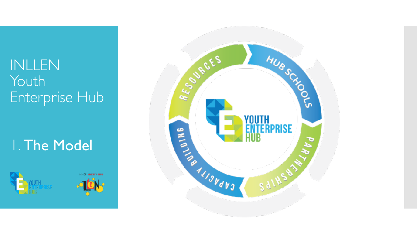## 1. The Model





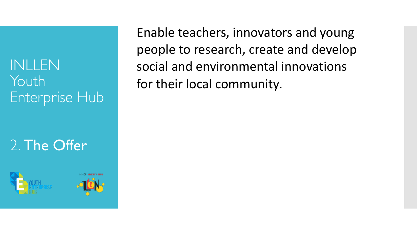# 2. The Offer





Enable teachers, innovators and young people to research, create and develop social and environmental innovations for their local community.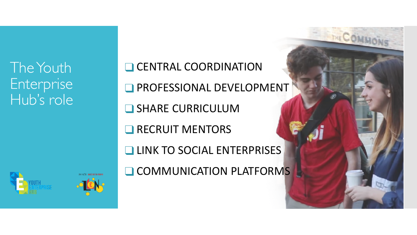The Youth Enterprise Hub's role





**□ CENTRAL COORDINATION** ❑ PROFESSIONAL DEVELOPMENT

❑ SHARE CURRICULUM

**□ RECRUIT MENTORS** 

❑ LINK TO SOCIAL ENTERPRISES

**□ COMMUNICATION PLATFORMS** 

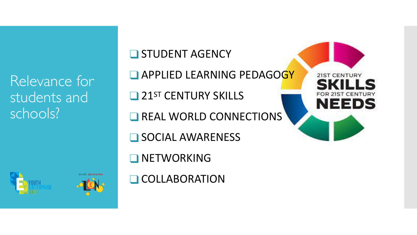Relevance for students and schools?





**□ STUDENT AGENCY** 

❑ APPLIED LEARNING PEDAGOGY

❑ 21ST CENTURY SKILLS

**□ REAL WORLD CONNECTIONS** 

❑ SOCIAL AWARENESS

❑ NETWORKING

❑ COLLABORATION

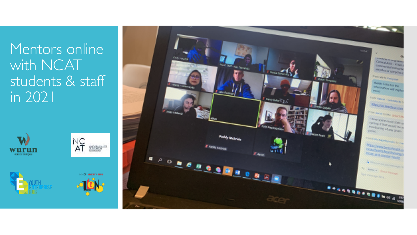#### Mentors online with NCAT students & staff in 2021









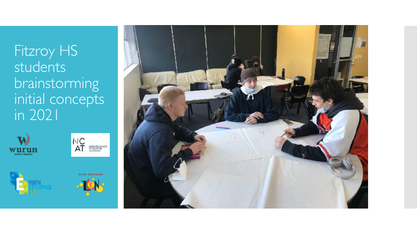### Fitzroy HS students brainstorming initial concepts in 2021









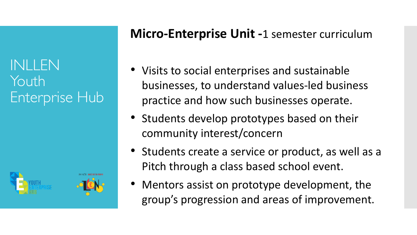

#### **Micro-Enterprise Unit -**1 semester curriculum

- Visits to social enterprises and sustainable businesses, to understand values-led business practice and how such businesses operate.
- Students develop prototypes based on their community interest/concern
- Students create a service or product, as well as a Pitch through a class based school event.
- Mentors assist on prototype development, the group's progression and areas of improvement.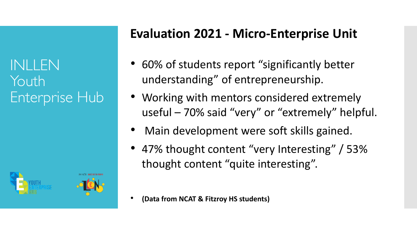

#### **Evaluation 2021 - Micro-Enterprise Unit**

- 60% of students report "significantly better understanding" of entrepreneurship.
- Working with mentors considered extremely useful – 70% said "very" or "extremely" helpful.
- Main development were soft skills gained.
- 47% thought content "very Interesting" / 53% thought content "quite interesting".

• **(Data from NCAT & Fitzroy HS students)**